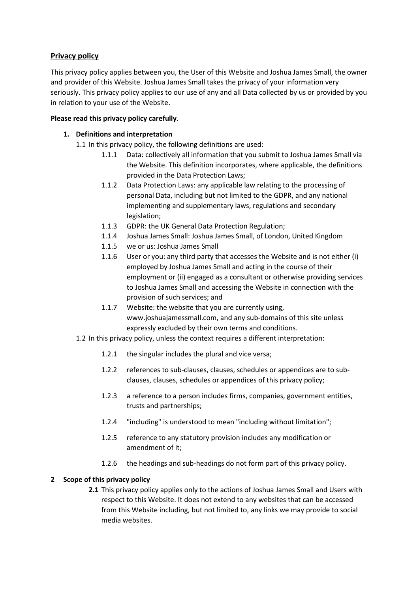# **Privacy policy**

This privacy policy applies between you, the User of this Website and Joshua James Small, the owner and provider of this Website. Joshua James Small takes the privacy of your information very seriously. This privacy policy applies to our use of any and all Data collected by us or provided by you in relation to your use of the Website.

# **Please read this privacy policy carefully**.

# **1. Definitions and interpretation**

1.1 In this privacy policy, the following definitions are used:

- 1.1.1 Data: collectively all information that you submit to Joshua James Small via the Website. This definition incorporates, where applicable, the definitions provided in the Data Protection Laws;
- 1.1.2 Data Protection Laws: any applicable law relating to the processing of personal Data, including but not limited to the GDPR, and any national implementing and supplementary laws, regulations and secondary legislation;
- 1.1.3 GDPR: the UK General Data Protection Regulation;
- 1.1.4 Joshua James Small: Joshua James Small, of London, United Kingdom
- 1.1.5 we or us: Joshua James Small
- 1.1.6 User or you: any third party that accesses the Website and is not either (i) employed by Joshua James Small and acting in the course of their employment or (ii) engaged as a consultant or otherwise providing services to Joshua James Small and accessing the Website in connection with the provision of such services; and
- 1.1.7 Website: the website that you are currently using, www.joshuajamessmall.com, and any sub-domains of this site unless expressly excluded by their own terms and conditions.
- 1.2 In this privacy policy, unless the context requires a different interpretation:
	- 1.2.1 the singular includes the plural and vice versa;
	- 1.2.2 references to sub-clauses, clauses, schedules or appendices are to subclauses, clauses, schedules or appendices of this privacy policy;
	- 1.2.3 a reference to a person includes firms, companies, government entities, trusts and partnerships;
	- 1.2.4 "including" is understood to mean "including without limitation";
	- 1.2.5 reference to any statutory provision includes any modification or amendment of it;
	- 1.2.6 the headings and sub-headings do not form part of this privacy policy.

# **2 Scope of this privacy policy**

**2.1** This privacy policy applies only to the actions of Joshua James Small and Users with respect to this Website. It does not extend to any websites that can be accessed from this Website including, but not limited to, any links we may provide to social media websites.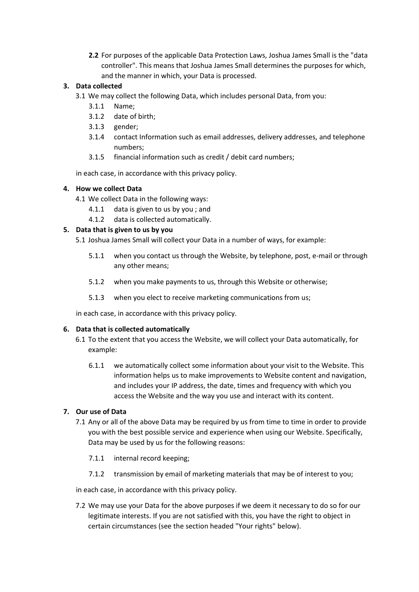**2.2** For purposes of the applicable Data Protection Laws, Joshua James Small is the "data controller". This means that Joshua James Small determines the purposes for which, and the manner in which, your Data is processed.

# **3. Data collected**

- 3.1 We may collect the following Data, which includes personal Data, from you:
	- 3.1.1 Name;
	- 3.1.2 date of birth;
	- 3.1.3 gender;
	- 3.1.4 contact Information such as email addresses, delivery addresses, and telephone numbers;
	- 3.1.5 financial information such as credit / debit card numbers;

in each case, in accordance with this privacy policy.

### **4. How we collect Data**

- 4.1 We collect Data in the following ways:
	- 4.1.1 data is given to us by you ; and
	- 4.1.2 data is collected automatically.

### **5. Data that is given to us by you**

- 5.1 Joshua James Small will collect your Data in a number of ways, for example:
	- 5.1.1 when you contact us through the Website, by telephone, post, e-mail or through any other means;
	- 5.1.2 when you make payments to us, through this Website or otherwise;
	- 5.1.3 when you elect to receive marketing communications from us;

in each case, in accordance with this privacy policy.

#### **6. Data that is collected automatically**

- 6.1 To the extent that you access the Website, we will collect your Data automatically, for example:
	- 6.1.1 we automatically collect some information about your visit to the Website. This information helps us to make improvements to Website content and navigation, and includes your IP address, the date, times and frequency with which you access the Website and the way you use and interact with its content.

# **7. Our use of Data**

- 7.1 Any or all of the above Data may be required by us from time to time in order to provide you with the best possible service and experience when using our Website. Specifically, Data may be used by us for the following reasons:
	- 7.1.1 internal record keeping;
	- 7.1.2 transmission by email of marketing materials that may be of interest to you;

in each case, in accordance with this privacy policy.

7.2 We may use your Data for the above purposes if we deem it necessary to do so for our legitimate interests. If you are not satisfied with this, you have the right to object in certain circumstances (see the section headed "Your rights" below).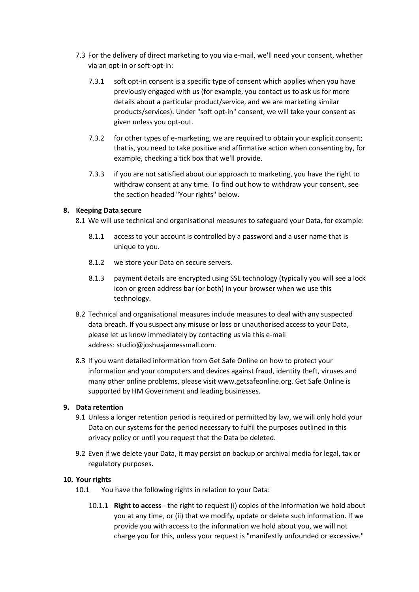- 7.3 For the delivery of direct marketing to you via e-mail, we'll need your consent, whether via an opt-in or soft-opt-in:
	- 7.3.1 soft opt-in consent is a specific type of consent which applies when you have previously engaged with us (for example, you contact us to ask us for more details about a particular product/service, and we are marketing similar products/services). Under "soft opt-in" consent, we will take your consent as given unless you opt-out.
	- 7.3.2 for other types of e-marketing, we are required to obtain your explicit consent; that is, you need to take positive and affirmative action when consenting by, for example, checking a tick box that we'll provide.
	- 7.3.3 if you are not satisfied about our approach to marketing, you have the right to withdraw consent at any time. To find out how to withdraw your consent, see the section headed "Your rights" below.

#### **8. Keeping Data secure**

8.1 We will use technical and organisational measures to safeguard your Data, for example:

- 8.1.1 access to your account is controlled by a password and a user name that is unique to you.
- 8.1.2 we store your Data on secure servers.
- 8.1.3 payment details are encrypted using SSL technology (typically you will see a lock icon or green address bar (or both) in your browser when we use this technology.
- 8.2 Technical and organisational measures include measures to deal with any suspected data breach. If you suspect any misuse or loss or unauthorised access to your Data, please let us know immediately by contacting us via this e-mail address: studio@joshuajamessmall.com.
- 8.3 If you want detailed information from Get Safe Online on how to protect your information and your computers and devices against fraud, identity theft, viruses and many other online problems, please visit www.getsafeonline.org. Get Safe Online is supported by HM Government and leading businesses.

#### **9. Data retention**

- 9.1 Unless a longer retention period is required or permitted by law, we will only hold your Data on our systems for the period necessary to fulfil the purposes outlined in this privacy policy or until you request that the Data be deleted.
- 9.2 Even if we delete your Data, it may persist on backup or archival media for legal, tax or regulatory purposes.

#### **10. Your rights**

- 10.1 You have the following rights in relation to your Data:
	- 10.1.1 **Right to access** the right to request (i) copies of the information we hold about you at any time, or (ii) that we modify, update or delete such information. If we provide you with access to the information we hold about you, we will not charge you for this, unless your request is "manifestly unfounded or excessive."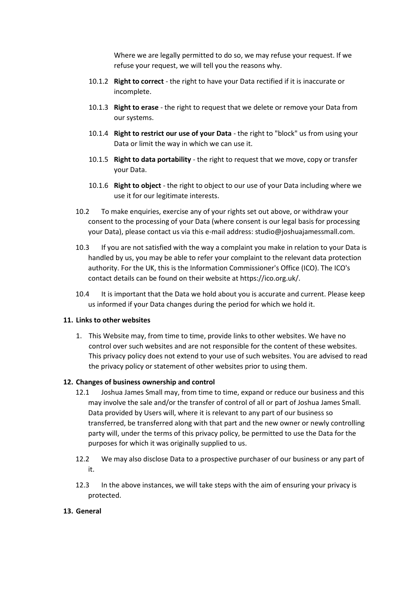Where we are legally permitted to do so, we may refuse your request. If we refuse your request, we will tell you the reasons why.

- 10.1.2 **Right to correct** the right to have your Data rectified if it is inaccurate or incomplete.
- 10.1.3 **Right to erase** the right to request that we delete or remove your Data from our systems.
- 10.1.4 **Right to restrict our use of your Data** the right to "block" us from using your Data or limit the way in which we can use it.
- 10.1.5 **Right to data portability** the right to request that we move, copy or transfer your Data.
- 10.1.6 **Right to object** the right to object to our use of your Data including where we use it for our legitimate interests.
- 10.2 To make enquiries, exercise any of your rights set out above, or withdraw your consent to the processing of your Data (where consent is our legal basis for processing your Data), please contact us via this e-mail address: studio@joshuajamessmall.com.
- 10.3 If you are not satisfied with the way a complaint you make in relation to your Data is handled by us, you may be able to refer your complaint to the relevant data protection authority. For the UK, this is the Information Commissioner's Office (ICO). The ICO's contact details can be found on their website at https://ico.org.uk/.
- 10.4 It is important that the Data we hold about you is accurate and current. Please keep us informed if your Data changes during the period for which we hold it.

### **11. Links to other websites**

1. This Website may, from time to time, provide links to other websites. We have no control over such websites and are not responsible for the content of these websites. This privacy policy does not extend to your use of such websites. You are advised to read the privacy policy or statement of other websites prior to using them.

#### **12. Changes of business ownership and control**

- 12.1 Joshua James Small may, from time to time, expand or reduce our business and this may involve the sale and/or the transfer of control of all or part of Joshua James Small. Data provided by Users will, where it is relevant to any part of our business so transferred, be transferred along with that part and the new owner or newly controlling party will, under the terms of this privacy policy, be permitted to use the Data for the purposes for which it was originally supplied to us.
- 12.2 We may also disclose Data to a prospective purchaser of our business or any part of it.
- 12.3 In the above instances, we will take steps with the aim of ensuring your privacy is protected.

#### **13. General**